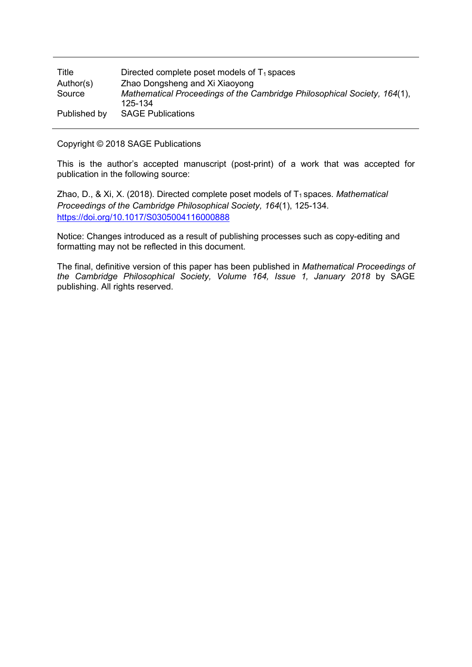| Title        | Directed complete poset models of $T_1$ spaces                           |
|--------------|--------------------------------------------------------------------------|
| Author(s)    | Zhao Dongsheng and Xi Xiaoyong                                           |
| Source       | Mathematical Proceedings of the Cambridge Philosophical Society, 164(1), |
|              | 125-134                                                                  |
| Published by | <b>SAGE Publications</b>                                                 |

Copyright © 2018 SAGE Publications

This is the author's accepted manuscript (post-print) of a work that was accepted for publication in the following source:

Zhao, D., & Xi, X. (2018). Directed complete poset models of T<sub>1</sub> spaces. *Mathematical Proceedings of the Cambridge Philosophical Society, 164*(1), 125-134. <https://doi.org/10.1017/S0305004116000888>

Notice: Changes introduced as a result of publishing processes such as copy-editing and formatting may not be reflected in this document.

The final, definitive version of this paper has been published in *Mathematical Proceedings of the Cambridge Philosophical Society, Volume 164, Issue 1, January 2018* by SAGE publishing. All rights reserved.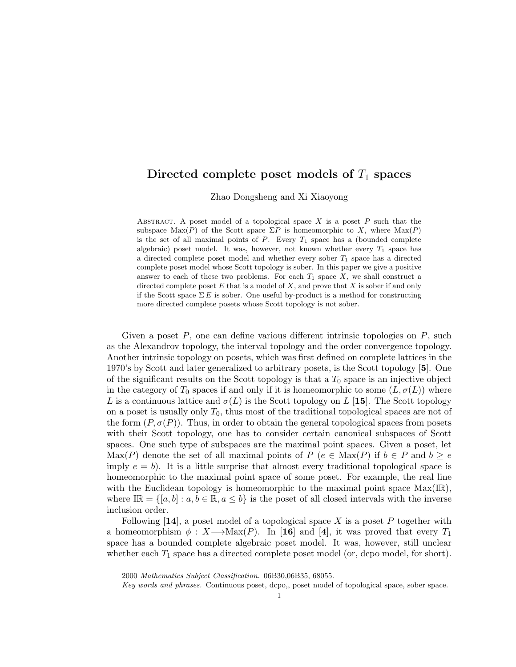# Directed complete poset models of  $T_1$  spaces

Zhao Dongsheng and Xi Xiaoyong

ABSTRACT. A poset model of a topological space  $X$  is a poset  $P$  such that the subspace  $\text{Max}(P)$  of the Scott space  $\Sigma P$  is homeomorphic to X, where  $\text{Max}(P)$ is the set of all maximal points of  $P$ . Every  $T_1$  space has a (bounded complete algebraic) poset model. It was, however, not known whether every  $T_1$  space has a directed complete poset model and whether every sober  $T_1$  space has a directed complete poset model whose Scott topology is sober. In this paper we give a positive answer to each of these two problems. For each  $T_1$  space  $X$ , we shall construct a directed complete poset  $E$  that is a model of  $X$ , and prove that  $X$  is sober if and only if the Scott space  $\Sigma E$  is sober. One useful by-product is a method for constructing more directed complete posets whose Scott topology is not sober.

Given a poset  $P$ , one can define various different intrinsic topologies on  $P$ , such as the Alexandrov topology, the interval topology and the order convergence topology. Another intrinsic topology on posets, which was first defined on complete lattices in the 1970's by Scott and later generalized to arbitrary posets, is the Scott topology [5]. One of the significant results on the Scott topology is that a  $T_0$  space is an injective object in the category of  $T_0$  spaces if and only if it is homeomorphic to some  $(L, \sigma(L))$  where L is a continuous lattice and  $\sigma(L)$  is the Scott topology on L [15]. The Scott topology on a poset is usually only  $T_0$ , thus most of the traditional topological spaces are not of the form  $(P, \sigma(P))$ . Thus, in order to obtain the general topological spaces from posets with their Scott topology, one has to consider certain canonical subspaces of Scott spaces. One such type of subspaces are the maximal point spaces. Given a poset, let Max(P) denote the set of all maximal points of P ( $e \in Max(P)$  if  $b \in P$  and  $b \geq e$ imply  $e = b$ ). It is a little surprise that almost every traditional topological space is homeomorphic to the maximal point space of some poset. For example, the real line with the Euclidean topology is homeomorphic to the maximal point space  $Max(IR)$ , where  $I\mathbb{R} = \{[a, b] : a, b \in \mathbb{R}, a \leq b\}$  is the poset of all closed intervals with the inverse inclusion order.

Following  $[14]$ , a poset model of a topological space X is a poset P together with a homeomorphism  $\phi : X \longrightarrow \text{Max}(P)$ . In [16] and [4], it was proved that every  $T_1$ space has a bounded complete algebraic poset model. It was, however, still unclear whether each  $T_1$  space has a directed complete poset model (or, dcpo model, for short).

<sup>2000</sup> Mathematics Subject Classification. 06B30,06B35, 68055.

Key words and phrases. Continuous poset, dcpo,, poset model of topological space, sober space.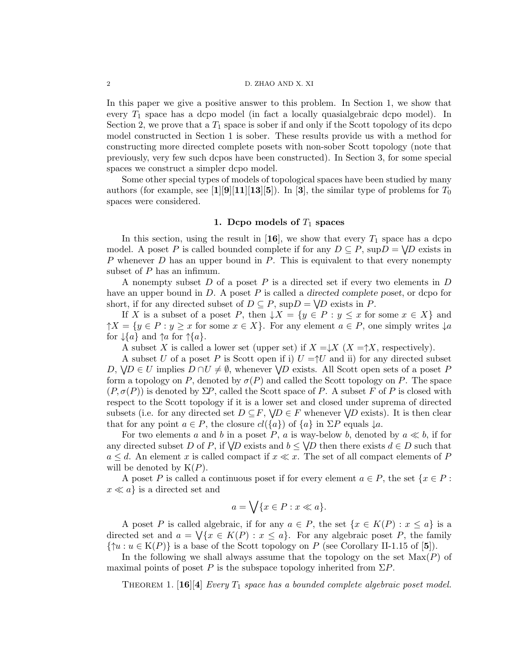### 2 D. ZHAO AND X. XI

In this paper we give a positive answer to this problem. In Section 1, we show that every  $T_1$  space has a dcpo model (in fact a locally quasialgebraic dcpo model). In Section 2, we prove that a  $T_1$  space is sober if and only if the Scott topology of its dcpo model constructed in Section 1 is sober. These results provide us with a method for constructing more directed complete posets with non-sober Scott topology (note that previously, very few such dcpos have been constructed). In Section 3, for some special spaces we construct a simpler dcpo model.

Some other special types of models of topological spaces have been studied by many authors (for example, see [1][9][11][13][5]). In [3], the similar type of problems for  $T_0$ spaces were considered.

# 1. Depo models of  $T_1$  spaces

In this section, using the result in [16], we show that every  $T_1$  space has a dcpo model. A poset P is called bounded complete if for any  $D \subseteq P$ ,  $\text{sup}D = \bigvee D$  exists in P whenever D has an upper bound in P. This is equivalent to that every nonempty subset of P has an infimum.

A nonempty subset  $D$  of a poset  $P$  is a directed set if every two elements in  $D$ have an upper bound in  $D$ . A poset  $P$  is called a directed complete poset, or dcpo for short, if for any directed subset of  $D \subseteq P$ ,  $\text{sup} D = \bigvee D$  exists in P.

If X is a subset of a poset P, then  $\downarrow X = \{y \in P : y \leq x \text{ for some } x \in X\}$  and  $\uparrow X = \{y \in P : y \geq x \text{ for some } x \in X\}.$  For any element  $a \in P$ , one simply writes  $\downarrow a$ for  $\downarrow$ {a} and  $\uparrow$ a for  $\uparrow$ {a}.

A subset X is called a lower set (upper set) if  $X = \downarrow X$  ( $X = \uparrow X$ , respectively).

A subset U of a poset P is Scott open if i)  $U = \Upsilon$  and ii) for any directed subset D,  $\forall D \in U$  implies  $D \cap U \neq \emptyset$ , whenever  $\forall D$  exists. All Scott open sets of a poset P form a topology on P, denoted by  $\sigma(P)$  and called the Scott topology on P. The space  $(P, \sigma(P))$  is denoted by  $\Sigma P$ , called the Scott space of P. A subset F of P is closed with respect to the Scott topology if it is a lower set and closed under suprema of directed subsets (i.e. for any directed set  $D \subseteq F$ ,  $\forall D \in F$  whenever  $\forall D$  exists). It is then clear that for any point  $a \in P$ , the closure  $cl({a})$  of  ${a}$  in  $\Sigma P$  equals  $\downarrow a$ .

For two elements a and b in a poset P, a is way-below b, denoted by  $a \ll b$ , if for any directed subset D of P, if  $\bigvee D$  exists and  $b \leq \bigvee D$  then there exists  $d \in D$  such that  $a \leq d$ . An element x is called compact if  $x \ll x$ . The set of all compact elements of P will be denoted by  $K(P)$ .

A poset P is called a continuous poset if for every element  $a \in P$ , the set  $\{x \in P :$  $x \ll a$  is a directed set and

$$
a = \bigvee \{x \in P : x \ll a\}.
$$

A poset P is called algebraic, if for any  $a \in P$ , the set  $\{x \in K(P) : x \leq a\}$  is a directed set and  $a = \sqrt{\{x \in K(P) : x \leq a\}}$ . For any algebraic poset P, the family  $\{\uparrow u : u \in K(P)\}\$ is a base of the Scott topology on P (see Corollary II-1.15 of [5]).

In the following we shall always assume that the topology on the set  $Max(P)$  of maximal points of poset P is the subspace topology inherited from  $\Sigma P$ .

THEOREM 1. [16][4] Every  $T_1$  space has a bounded complete algebraic poset model.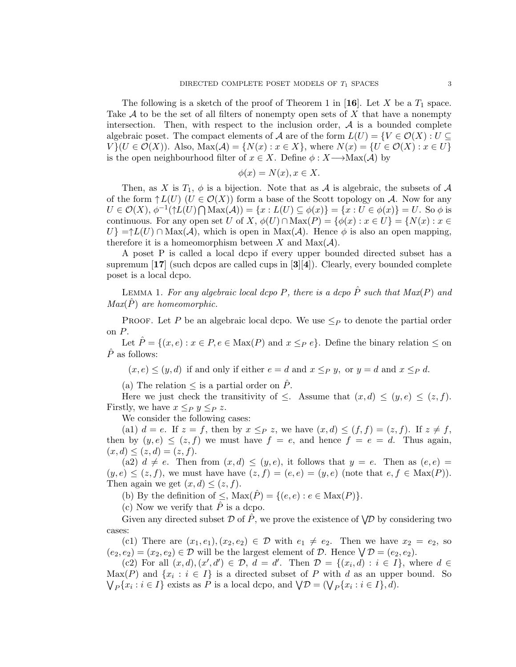The following is a sketch of the proof of Theorem 1 in [16]. Let X be a  $T_1$  space. Take  $A$  to be the set of all filters of nonempty open sets of  $X$  that have a nonempty intersection. Then, with respect to the inclusion order,  $A$  is a bounded complete algebraic poset. The compact elements of A are of the form  $L(U) = \{V \in \mathcal{O}(X) : U \subseteq$  $V$  { $U \in \mathcal{O}(X)$ ). Also,  $\text{Max}(\mathcal{A}) = \{N(x) : x \in X\}$ , where  $N(x) = \{U \in \mathcal{O}(X) : x \in U\}$ is the open neighbourhood filter of  $x \in X$ . Define  $\phi : X \longrightarrow \text{Max}(\mathcal{A})$  by

$$
\phi(x) = N(x), x \in X.
$$

Then, as X is  $T_1$ ,  $\phi$  is a bijection. Note that as A is algebraic, the subsets of A of the form  $\uparrow L(U)$   $(U \in \mathcal{O}(X))$  form a base of the Scott topology on A. Now for any  $U \in \mathcal{O}(X), \phi^{-1}(\uparrow L(U) \bigcap \text{Max}(\mathcal{A})) = \{x : L(U) \subseteq \phi(x)\} = \{x : U \in \phi(x)\} = U.$  So  $\phi$  is continuous. For any open set U of X,  $\phi(U) \cap \text{Max}(P) = {\phi(x) : x \in U} = {N(x) : x \in$  $U$ } =↑L(U) ∩ Max(A), which is open in Max(A). Hence  $\phi$  is also an open mapping, therefore it is a homeomorphism between X and  $Max(\mathcal{A})$ .

A poset P is called a local dcpo if every upper bounded directed subset has a supremum  $\left[17\right]$  (such dcpos are called cups in  $\left[3\right]\left[4\right]$ ). Clearly, every bounded complete poset is a local dcpo.

LEMMA 1. For any algebraic local dcpo P, there is a dcpo  $\hat{P}$  such that  $Max(P)$  and  $Max(P)$  are homeomorphic.

PROOF. Let P be an algebraic local dcpo. We use  $\leq_P$  to denote the partial order on P.

Let  $\hat{P} = \{(x, e) : x \in P, e \in \text{Max}(P) \text{ and } x \leq_P e\}$ . Define the binary relation  $\leq$  on  $\hat{P}$  as follows:

 $(x, e) \le (y, d)$  if and only if either  $e = d$  and  $x \leq_P y$ , or  $y = d$  and  $x \leq_P d$ .

(a) The relation  $\leq$  is a partial order on  $\ddot{P}$ .

Here we just check the transitivity of  $\leq$ . Assume that  $(x,d) \leq (y,e) \leq (z,f)$ . Firstly, we have  $x \leq_P y \leq_P z$ .

We consider the following cases:

(a1)  $d = e$ . If  $z = f$ , then by  $x \leq_P z$ , we have  $(x,d) \leq (f, f) = (z, f)$ . If  $z \neq f$ , then by  $(y, e) \leq (z, f)$  we must have  $f = e$ , and hence  $f = e = d$ . Thus again,  $(x, d) \leq (z, d) = (z, f).$ 

(a2)  $d \neq e$ . Then from  $(x, d) \leq (y, e)$ , it follows that  $y = e$ . Then as  $(e, e)$  $(y, e) \leq (z, f)$ , we must have have  $(z, f) = (e, e) = (y, e)$  (note that  $e, f \in Max(P)$ ). Then again we get  $(x, d) \leq (z, f)$ .

(b) By the definition of  $\leq$ ,  $\text{Max}(\hat{P}) = \{(e, e) : e \in \text{Max}(P)\}.$ 

(c) Now we verify that  $\hat{P}$  is a dcpo.

Given any directed subset D of  $\hat{P}$ , we prove the existence of  $\bigvee\!\mathcal{D}$  by considering two cases:

(c1) There are  $(x_1, e_1), (x_2, e_2) \in \mathcal{D}$  with  $e_1 \neq e_2$ . Then we have  $x_2 = e_2$ , so  $(e_2, e_2) = (x_2, e_2) \in \mathcal{D}$  will be the largest element of  $\mathcal{D}$ . Hence  $\bigvee \mathcal{D} = (e_2, e_2)$ .

(c2) For all  $(x,d),(x',d') \in \mathcal{D}, d = d'$ . Then  $\mathcal{D} = \{(x_i,d) : i \in I\}$ , where  $d \in$  $\text{Max}(P)$  and  $\{x_i : i \in I\}$  is a directed subset of P with d as an upper bound. So  $\bigvee_P \{x_i : i \in I\}$  exists as P is a local dcpo, and  $\bigvee \mathcal{D} = (\bigvee_P \{x_i : i \in I\}, d)$ .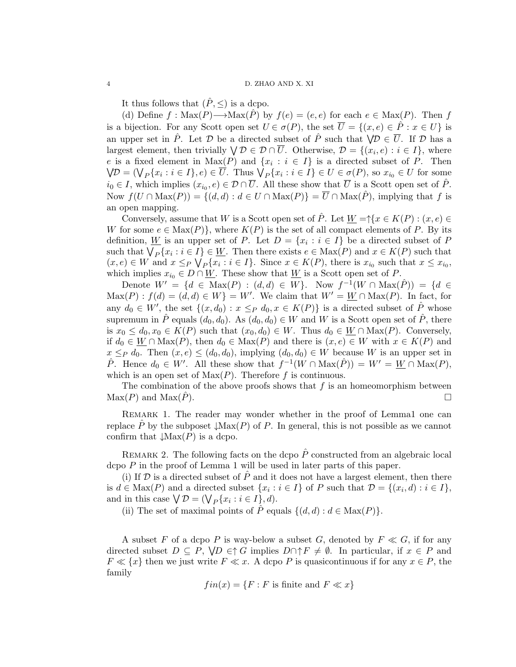It thus follows that  $(\hat{P}, \leq)$  is a dcpo.

(d) Define  $f : \text{Max}(P) \longrightarrow \text{Max}(\hat{P})$  by  $f(e) = (e, e)$  for each  $e \in \text{Max}(P)$ . Then f is a bijection. For any Scott open set  $U \in \sigma(P)$ , the set  $\overline{U} = \{(x, e) \in \hat{P} : x \in U\}$  is an upper set in  $\hat{P}$ . Let  $D$  be a directed subset of  $\hat{P}$  such that  $\forall D \in \overline{U}$ . If  $D$  has a largest element, then trivially  $\forall \mathcal{D} \in \mathcal{D} \cap \overline{U}$ . Otherwise,  $\mathcal{D} = \{(x_i, e) : i \in I\}$ , where e is a fixed element in  $Max(P)$  and  $\{x_i : i \in I\}$  is a directed subset of P. Then  $\bigvee\mathcal{D} = (\bigvee_P \{x_i : i \in I\}, e) \in \overline{U}$ . Thus  $\bigvee_P \{x_i : i \in I\} \in U \in \sigma(P)$ , so  $x_{i_0} \in U$  for some  $i_0 \in I$ , which implies  $(x_{i_0}, e) \in \mathcal{D} \cap \overline{U}$ . All these show that  $\overline{U}$  is a Scott open set of  $\hat{P}$ . Now  $f(U \cap \text{Max}(P)) = \{(d, d) : d \in U \cap \text{Max}(P)\} = \overline{U} \cap \text{Max}(\hat{P})$ , implying that f is an open mapping.

Conversely, assume that W is a Scott open set of  $\hat{P}$ . Let  $\underline{W} = \hat{P} \{x \in K(P) : (x, e) \in$ W for some  $e \in Max(P)$ , where  $K(P)$  is the set of all compact elements of P. By its definition, <u>W</u> is an upper set of P. Let  $D = \{x_i : i \in I\}$  be a directed subset of P such that  $\bigvee_P \{x_i : i \in I\} \in \underline{W}$ . Then there exists  $e \in \text{Max}(P)$  and  $x \in K(P)$  such that  $(x, e) \in W$  and  $x \leq_P \bigvee_P \{x_i : i \in I\}$ . Since  $x \in K(P)$ , there is  $x_{i_0}$  such that  $x \leq x_{i_0}$ , which implies  $x_{i_0} \in D \cap \underline{W}$ . These show that  $\underline{W}$  is a Scott open set of P.

Denote  $W' = \{d \in \text{Max}(P) : (d, d) \in W\}$ . Now  $f^{-1}(W \cap \text{Max}(\hat{P})) = \{d \in$  $\text{Max}(P) : f(d) = (d, d) \in W$  = W'. We claim that  $W' = W \cap \text{Max}(P)$ . In fact, for any  $d_0 \in W'$ , the set  $\{(x, d_0) : x \leq_P d_0, x \in K(P)\}\$ is a directed subset of  $\hat{P}$  whose supremum in  $\hat{P}$  equals  $(d_0, d_0)$ . As  $(d_0, d_0) \in W$  and W is a Scott open set of  $\hat{P}$ , there is  $x_0 \leq d_0, x_0 \in K(P)$  such that  $(x_0, d_0) \in W$ . Thus  $d_0 \in \underline{W} \cap \text{Max}(P)$ . Conversely, if  $d_0 \in \underline{W} \cap \text{Max}(P)$ , then  $d_0 \in \text{Max}(P)$  and there is  $(x, e) \in W$  with  $x \in K(P)$  and  $x \leq_P d_0$ . Then  $(x, e) \leq (d_0, d_0)$ , implying  $(d_0, d_0) \in W$  because W is an upper set in  $\hat{P}$ . Hence  $d_0 \in W'$ . All these show that  $f^{-1}(W \cap \text{Max}(\hat{P})) = W' = \underline{W} \cap \text{Max}(P)$ , which is an open set of  $Max(P)$ . Therefore f is continuous.

The combination of the above proofs shows that  $f$  is an homeomorphism between  $\text{Max}(P)$  and  $\text{Max}(P)$ .

REMARK 1. The reader may wonder whether in the proof of Lemma1 one can replace  $\hat{P}$  by the subposet  $\downarrow$ Max $(P)$  of P. In general, this is not possible as we cannot confirm that  $\downarrow$ Max $(P)$  is a dcpo.

REMARK 2. The following facts on the dcpo  $\hat{P}$  constructed from an algebraic local dcpo  $P$  in the proof of Lemma 1 will be used in later parts of this paper.

(i) If  $\mathcal D$  is a directed subset of  $\hat P$  and it does not have a largest element, then there is  $d \in \text{Max}(P)$  and a directed subset  $\{x_i : i \in I\}$  of P such that  $\mathcal{D} = \{(x_i, d) : i \in I\}$ , and in this case  $\bigvee \mathcal{D} = (\bigvee_P \{x_i : i \in I\}, d)$ .

(ii) The set of maximal points of  $\hat{P}$  equals  $\{(d, d) : d \in \text{Max}(P)\}.$ 

A subset F of a dcpo P is way-below a subset G, denoted by  $F \ll G$ , if for any directed subset  $D \subseteq P$ ,  $\forall D \in \uparrow G$  implies  $D \cap \uparrow F \neq \emptyset$ . In particular, if  $x \in P$  and  $F \ll \{x\}$  then we just write  $F \ll x$ . A dcpo P is quasicontinuous if for any  $x \in P$ , the family

$$
fin(x) = \{F : F \text{ is finite and } F \ll x\}
$$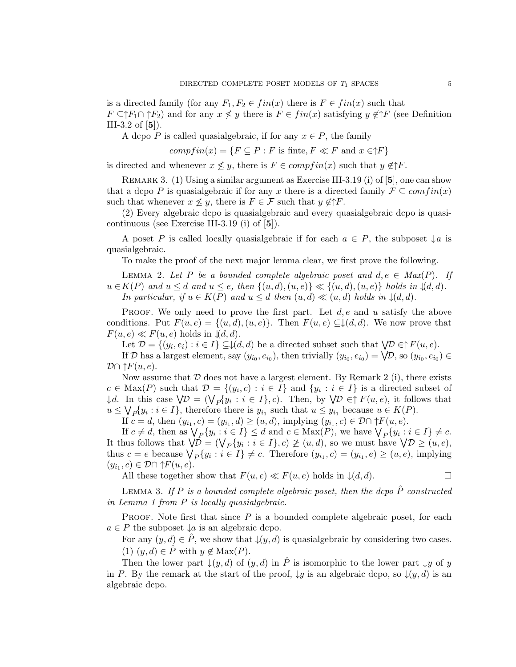is a directed family (for any  $F_1, F_2 \in fin(x)$  there is  $F \in fin(x)$  such that  $F \subseteq \uparrow F_1 \cap \uparrow F_2$  and for any  $x \not\leq y$  there is  $F \in fin(x)$  satisfying  $y \notin \uparrow F$  (see Definition III-3.2 of  $[5]$ ).

A dcpo P is called quasialgebraic, if for any  $x \in P$ , the family

$$
compfin(x) = {F \subseteq P : F \text{ is finite}, F \ll F \text{ and } x \in \uparrow F}
$$

is directed and whenever  $x \nleq y$ , there is  $F \in \mathit{compfin}(x)$  such that  $y \notin \uparrow F$ .

REMARK 3. (1) Using a similar argument as Exercise III-3.19 (i) of  $[5]$ , one can show that a dcpo P is quasialgebraic if for any x there is a directed family  $\mathcal{F} \subseteq comfin(x)$ such that whenever  $x \nleq y$ , there is  $F \in \mathcal{F}$  such that  $y \notin \uparrow F$ .

(2) Every algebraic dcpo is quasialgebraic and every quasialgebraic dcpo is quasicontinuous (see Exercise III-3.19 (i) of [5]).

A poset P is called locally quasialgebraic if for each  $a \in P$ , the subposet  $\downarrow a$  is quasialgebraic.

To make the proof of the next major lemma clear, we first prove the following.

LEMMA 2. Let P be a bounded complete algebraic poset and  $d, e \in Max(P)$ . If  $u \in K(P)$  and  $u \leq d$  and  $u \leq e$ , then  $\{(u,d),(u,e)\} \ll \{(u,d),(u,e)\}$  holds in  $\{(d,d)\}$ . In particular, if  $u \in K(P)$  and  $u \leq d$  then  $(u,d) \ll (u,d)$  holds in  $\downarrow (d,d)$ .

**PROOF.** We only need to prove the first part. Let  $d, e$  and u satisfy the above conditions. Put  $F(u, e) = \{(u, d), (u, e)\}\$ . Then  $F(u, e) \subseteq \downarrow (d, d)$ . We now prove that  $F(u, e) \ll F(u, e)$  holds in  $\mathcal{A}(d, d)$ .

Let  $\mathcal{D} = \{(y_i, e_i) : i \in I\} \subseteq \downarrow (d, d)$  be a directed subset such that  $\forall \mathcal{D} \in \uparrow F(u, e)$ . If D has a largest element, say  $(y_{i_0}, e_{i_0})$ , then trivially  $(y_{i_0}, e_{i_0}) = \bigvee \mathcal{D}$ , so  $(y_{i_0}, e_{i_0}) \in$ 

 $\mathcal{D}\cap \mathcal{E}[u,e].$ 

Now assume that  $\mathcal D$  does not have a largest element. By Remark 2 (i), there exists  $c \in \text{Max}(P)$  such that  $\mathcal{D} = \{(y_i, c) : i \in I\}$  and  $\{y_i : i \in I\}$  is a directed subset of  $\downarrow d$ . In this case  $\bigvee \mathcal{D} = (\bigvee_P \{y_i : i \in I\}, c)$ . Then, by  $\bigvee \mathcal{D} \in \uparrow F(u, e)$ , it follows that  $u \leq \bigvee_P \{y_i : i \in I\}$ , therefore there is  $y_{i_1}$  such that  $u \leq y_{i_1}$  because  $u \in K(P)$ .

If  $c = d$ , then  $(y_{i_1}, c) = (y_{i_1}, d) \ge (u, d)$ , implying  $(y_{i_1}, c) \in \mathcal{D} \cap \uparrow F(u, e)$ .

If  $c \neq d$ , then as  $\bigvee_P \{y_i : i \in I\} \leq d$  and  $c \in \text{Max}(P)$ , we have  $\bigvee_P \{y_i : i \in I\} \neq c$ . It thus follows that  $\mathcal{V}D = (\mathcal{V}_P\{y_i : i \in I\}, c) \not\geq (u, d)$ , so we must have  $\mathcal{V}D \geq (u, e)$ , thus  $c = e$  because  $\bigvee_P \{y_i : i \in I\} \neq c$ . Therefore  $(y_{i_1}, c) = (y_{i_1}, e) \geq (u, e)$ , implying  $(y_{i_1}, c) \in \mathcal{D} \cap \uparrow F(u, e).$ 

All these together show that  $F(u, e) \ll F(u, e)$  holds in  $\downarrow (d, d)$ .

LEMMA 3. If P is a bounded complete algebraic poset, then the dcpo  $\hat{P}$  constructed in Lemma 1 from P is locally quasialgebraic.

**PROOF.** Note first that since  $P$  is a bounded complete algebraic poset, for each  $a \in P$  the subposet  $\downarrow a$  is an algebraic dcpo.

For any  $(y, d) \in \hat{P}$ , we show that  $\downarrow(y, d)$  is quasialgebraic by considering two cases. (1)  $(y, d) \in \hat{P}$  with  $y \notin Max(P)$ .

Then the lower part  $\downarrow(y,d)$  of  $(y,d)$  in  $\hat{P}$  is isomorphic to the lower part  $\downarrow y$  of y in P. By the remark at the start of the proof,  $\downarrow y$  is an algebraic dcpo, so  $\downarrow (y, d)$  is an algebraic dcpo.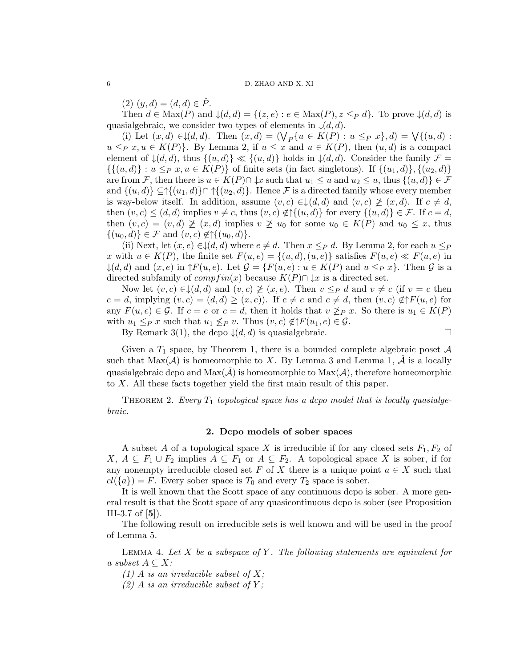$(2)$   $(y, d) = (d, d) \in P$ .

Then  $d \in Max(P)$  and  $\downarrow (d, d) = \{(z, e) : e \in Max(P), z \leq_P d\}$ . To prove  $\downarrow (d, d)$  is quasialgebraic, we consider two types of elements in  $\downarrow (d, d)$ .

(i) Let  $(x, d) \in \mathcal{A}(d, d)$ . Then  $(x, d) = (\bigvee_P \{u \in K(P) : u \leq_P x\}, d) = \bigvee \{(u, d) :$  $u \leq_P x, u \in K(P)$ . By Lemma 2, if  $u \leq x$  and  $u \in K(P)$ , then  $(u, d)$  is a compact element of  $\downarrow (d, d)$ , thus  $\{(u, d)\}\ll \{(u, d)\}\$  holds in  $\downarrow (d, d)$ . Consider the family  $\mathcal{F} =$  $\{\{(u, d)\} : u \leq_P x, u \in K(P)\}\$  of finite sets (in fact singletons). If  $\{(u_1, d)\}, \{(u_2, d)\}\$ are from F, then there is  $u \in K(P) \cap \downarrow x$  such that  $u_1 \leq u$  and  $u_2 \leq u$ , thus  $\{(u,d)\}\in \mathcal{F}$ and  $\{(u, d)\}\subseteq \mathcal{A}((u_1, d))\cap \mathcal{A}((u_2, d))$ . Hence F is a directed family whose every member is way-below itself. In addition, assume  $(v, c) \in L(d, d)$  and  $(v, c) \not\geq (x, d)$ . If  $c \neq d$ , then  $(v, c) \le (d, d)$  implies  $v \ne c$ , thus  $(v, c) \notin {\mathcal{H}}\{(u, d)\}\$ for every  $\{(u, d)\}\in \mathcal{F}$ . If  $c = d$ , then  $(v, c) = (v, d) \not\geq (x, d)$  implies  $v \not\geq u_0$  for some  $u_0 \in K(P)$  and  $u_0 \leq x$ , thus  $\{(u_0, d)\}\in \mathcal{F}$  and  $(v, c)\notin \uparrow \{(u_0, d)\}.$ 

(ii) Next, let  $(x, e) \in \mathcal{L}(d, d)$  where  $e \neq d$ . Then  $x \leq_P d$ . By Lemma 2, for each  $u \leq_P$ x with  $u \in K(P)$ , the finite set  $F(u, e) = \{(u, d), (u, e)\}\$  satisfies  $F(u, e) \ll F(u, e)$  in  $\downarrow (d, d)$  and  $(x, e)$  in  $\uparrow F(u, e)$ . Let  $\mathcal{G} = \{F(u, e) : u \in K(P) \text{ and } u \leq_P x\}$ . Then  $\mathcal{G}$  is a directed subfamily of  $compfin(x)$  because  $K(P) \cap \downarrow x$  is a directed set.

Now let  $(v, c) \in \mathcal{L}(d, d)$  and  $(v, c) \not\geq (x, e)$ . Then  $v \leq_P d$  and  $v \neq c$  (if  $v = c$  then  $c = d$ , implying  $(v, c) = (d, d) \ge (x, e)$ . If  $c \ne e$  and  $c \ne d$ , then  $(v, c) \notin \uparrow F(u, e)$  for any  $F(u, e) \in \mathcal{G}$ . If  $c = e$  or  $c = d$ , then it holds that  $v \not\geq_P x$ . So there is  $u_1 \in K(P)$ with  $u_1 \leq_P x$  such that  $u_1 \nleq_P v$ . Thus  $(v, c) \notin \uparrow F(u_1, e) \in \mathcal{G}$ .

By Remark 3(1), the dcpo  $\downarrow (d, d)$  is quasialgebraic.

Given a  $T_1$  space, by Theorem 1, there is a bounded complete algebraic poset A such that  $Max(\mathcal{A})$  is homeomorphic to X. By Lemma 3 and Lemma 1,  $\mathcal{A}$  is a locally quasialgebraic dcpo and  $\text{Max}(\mathcal{A})$  is homeomorphic to  $\text{Max}(\mathcal{A})$ , therefore homeomorphic to X. All these facts together yield the first main result of this paper.

THEOREM 2. Every  $T_1$  topological space has a dcpo model that is locally quasialgebraic.

## 2. Dcpo models of sober spaces

A subset A of a topological space X is irreducible if for any closed sets  $F_1, F_2$  of X,  $A ⊆ F_1 ∪ F_2$  implies  $A ⊆ F_1$  or  $A ⊆ F_2$ . A topological space X is sober, if for any nonempty irreducible closed set F of X there is a unique point  $a \in X$  such that  $cl({a}) = F$ . Every sober space is  $T_0$  and every  $T_2$  space is sober.

It is well known that the Scott space of any continuous dcpo is sober. A more general result is that the Scott space of any quasicontinuous dcpo is sober (see Proposition III-3.7 of  $[5]$ ).

The following result on irreducible sets is well known and will be used in the proof of Lemma 5.

LEMMA 4. Let X be a subspace of Y. The following statements are equivalent for a subset  $A \subseteq X$ :

(1) A is an irreducible subset of  $X$ ;

 $(2)$  A is an irreducible subset of Y;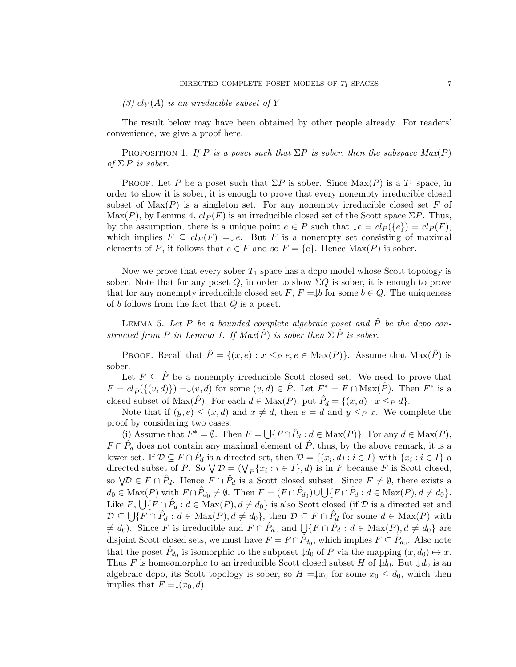The result below may have been obtained by other people already. For readers' convenience, we give a proof here.

PROPOSITION 1. If P is a poset such that  $\Sigma P$  is sober, then the subspace  $Max(P)$ of  $\Sigma P$  is sober.

PROOF. Let P be a poset such that  $\Sigma P$  is sober. Since  $\text{Max}(P)$  is a  $T_1$  space, in order to show it is sober, it is enough to prove that every nonempty irreducible closed subset of  $\text{Max}(P)$  is a singleton set. For any nonempty irreducible closed set F of  $\text{Max}(P)$ , by Lemma 4,  $cl_P(F)$  is an irreducible closed set of the Scott space  $\Sigma P$ . Thus, by the assumption, there is a unique point  $e \in P$  such that  $\downarrow e = cl_P({e}) = cl_P(F)$ , which implies  $F \subseteq cl_P(F) = \downarrow e$ . But F is a nonempty set consisting of maximal elements of P, it follows that  $e \in F$  and so  $F = \{e\}$ . Hence  $\text{Max}(P)$  is sober.

Now we prove that every sober  $T_1$  space has a dcpo model whose Scott topology is sober. Note that for any poset  $Q$ , in order to show  $\Sigma Q$  is sober, it is enough to prove that for any nonempty irreducible closed set  $F, F = \downarrow b$  for some  $b \in Q$ . The uniqueness of b follows from the fact that  $Q$  is a poset.

LEMMA 5. Let  $P$  be a bounded complete algebraic poset and  $\hat{P}$  be the dcpo constructed from P in Lemma 1. If  $Max(\hat{P})$  is sober then  $\Sigma \hat{P}$  is sober.

PROOF. Recall that  $\hat{P} = \{(x, e) : x \leq_P e, e \in \text{Max}(P)\}\)$ . Assume that  $\text{Max}(\hat{P})$  is sober.

Let  $F \subseteq \hat{P}$  be a nonempty irreducible Scott closed set. We need to prove that  $F = cl_{\hat{P}}(\{(v, d)\}) = \downarrow (v, d)$  for some  $(v, d) \in \hat{P}$ . Let  $F^* = F \cap \text{Max}(\hat{P})$ . Then  $F^*$  is a closed subset of  $\text{Max}(\hat{P})$ . For each  $d \in \text{Max}(P)$ , put  $\hat{P}_d = \{(x, d) : x \leq_P d\}$ .

Note that if  $(y, e) \leq (x, d)$  and  $x \neq d$ , then  $e = d$  and  $y \leq_P x$ . We complete the proof by considering two cases.

(i) Assume that  $F^* = \emptyset$ . Then  $F = \bigcup \{ F \cap \hat{P}_d : d \in \text{Max}(P) \}$ . For any  $d \in \text{Max}(P)$ ,  $F \cap \hat{P}_d$  does not contain any maximal element of  $\hat{P}$ , thus, by the above remark, it is a lower set. If  $\mathcal{D} \subseteq F \cap \hat{P}_d$  is a directed set, then  $\mathcal{D} = \{(x_i, d) : i \in I\}$  with  $\{x_i : i \in I\}$  a directed subset of P. So  $\mathcal{V} \mathcal{D} = (\mathcal{V}_P \{x_i : i \in I\}, d)$  is in F because F is Scott closed, so  $\forall \mathcal{D} \in F \cap \hat{P}_d$ . Hence  $F \cap \hat{P}_d$  is a Scott closed subset. Since  $F \neq \emptyset$ , there exists a  $d_0 \in \text{Max}(P)$  with  $F \cap \hat{P}_{d_0} \neq \emptyset$ . Then  $F = (F \cap \hat{P}_{d_0}) \cup \bigcup \{F \cap \hat{P}_{d} : d \in \text{Max}(P), d \neq d_0\}.$ Like  $F$ ,  $\bigcup \{F \cap \hat{P}_d : d \in \text{Max}(P), d \neq d_0\}$  is also Scott closed (if  $\mathcal D$  is a directed set and  $\mathcal{D} \subseteq \bigcup \{ F \cap \hat{P}_d : d \in \text{Max}(P), d \neq d_0 \}, \text{ then } \mathcal{D} \subseteq F \cap \hat{P}_d \text{ for some } d \in \text{Max}(P) \text{ with }$  $\neq d_0$ ). Since F is irreducible and  $F \cap \hat{P}_{d_0}$  and  $\bigcup \{F \cap \hat{P}_d : d \in \text{Max}(P), d \neq d_0\}$  are disjoint Scott closed sets, we must have  $F = F \cap \hat{P}_{d_0}$ , which implies  $F \subseteq \hat{P}_{d_0}$ . Also note that the poset  $\hat{P}_{d_0}$  is isomorphic to the subposet  $\downarrow d_0$  of P via the mapping  $(x, d_0) \mapsto x$ . Thus F is homeomorphic to an irreducible Scott closed subset H of  $\downarrow d_0$ . But  $\downarrow d_0$  is an algebraic dcpo, its Scott topology is sober, so  $H = \downarrow x_0$  for some  $x_0 \leq d_0$ , which then implies that  $F = \downarrow (x_0, d)$ .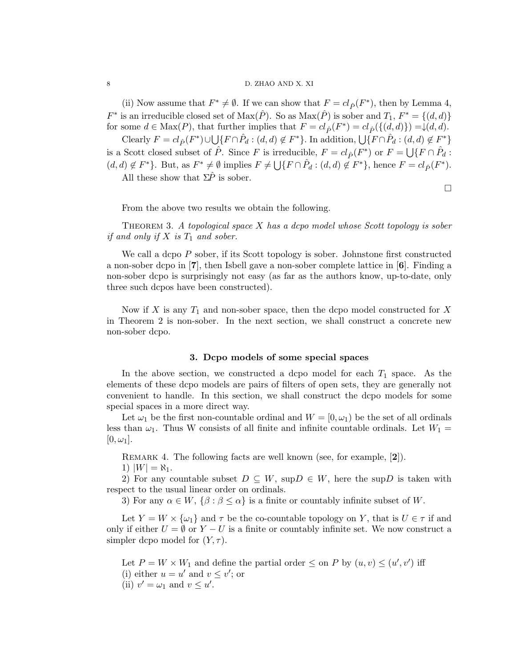## 8 D. ZHAO AND X. XI

(ii) Now assume that  $F^* \neq \emptyset$ . If we can show that  $F = cl_{\hat{P}}(F^*)$ , then by Lemma 4,  $F^*$  is an irreducible closed set of  $\text{Max}(\hat{P})$ . So as  $\text{Max}(\hat{P})$  is sober and  $T_1, F^* = \{(d, d)\}\$ for some  $d \in \text{Max}(P)$ , that further implies that  $F = cl_{\hat{P}}(F^*) = cl_{\hat{P}}(\{(d, d)\}) = \downarrow (d, d)$ .

Clearly  $F = cl_{\hat{P}}(F^*) \cup \bigcup \{F \cap \hat{P}_d : (d, d) \notin F^*\}$ . In addition,  $\bigcup \{F \cap \hat{P}_d : (d, d) \notin F^*\}$ is a Scott closed subset of  $\hat{P}$ . Since F is irreducible,  $F = cl_{\hat{P}}(F^*)$  or  $F = \bigcup \{F \cap \hat{P}_d :$  $(d, d) \notin F^*$ . But, as  $F^* \neq \emptyset$  implies  $F \neq \bigcup \{F \cap \hat{P}_d : (d, d) \notin F^*\}$ , hence  $F = cl_{\hat{P}}(F^*)$ . All these show that  $\Sigma \hat{P}$  is sober.

 $\Box$ 

From the above two results we obtain the following.

Theorem 3. A topological space X has a dcpo model whose Scott topology is sober if and only if  $X$  is  $T_1$  and sober.

We call a dcpo P sober, if its Scott topology is sober. Johnstone first constructed a non-sober dcpo in [7], then Isbell gave a non-sober complete lattice in [6]. Finding a non-sober dcpo is surprisingly not easy (as far as the authors know, up-to-date, only three such dcpos have been constructed).

Now if  $X$  is any  $T_1$  and non-sober space, then the dcpo model constructed for  $X$ in Theorem 2 is non-sober. In the next section, we shall construct a concrete new non-sober dcpo.

## 3. Dcpo models of some special spaces

In the above section, we constructed a dcpo model for each  $T_1$  space. As the elements of these dcpo models are pairs of filters of open sets, they are generally not convenient to handle. In this section, we shall construct the dcpo models for some special spaces in a more direct way.

Let  $\omega_1$  be the first non-countable ordinal and  $W = [0, \omega_1)$  be the set of all ordinals less than  $\omega_1$ . Thus W consists of all finite and infinite countable ordinals. Let  $W_1$  =  $[0, \omega_1].$ 

REMARK 4. The following facts are well known (see, for example, [2]).

1)  $|W| = \aleph_1$ .

2) For any countable subset  $D \subseteq W$ , sup $D \in W$ , here the sup D is taken with respect to the usual linear order on ordinals.

3) For any  $\alpha \in W$ ,  $\{\beta : \beta \leq \alpha\}$  is a finite or countably infinite subset of W.

Let  $Y = W \times {\omega_1}$  and  $\tau$  be the co-countable topology on Y, that is  $U \in \tau$  if and only if either  $U = \emptyset$  or  $Y - U$  is a finite or countably infinite set. We now construct a simpler dcpo model for  $(Y, \tau)$ .

Let  $P = W \times W_1$  and define the partial order  $\leq$  on P by  $(u, v) \leq (u', v')$  iff (i) either  $u = u'$  and  $v \leq v'$ ; or (ii)  $v' = \omega_1$  and  $v \leq u'$ .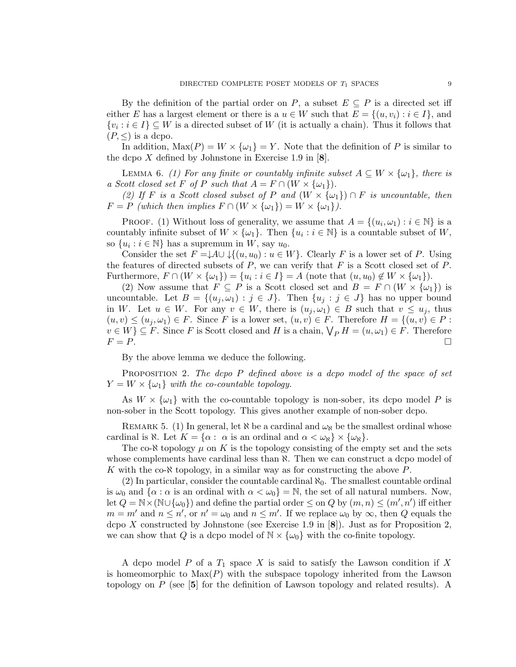By the definition of the partial order on P, a subset  $E \subseteq P$  is a directed set iff either E has a largest element or there is a  $u \in W$  such that  $E = \{(u, v_i) : i \in I\}$ , and  $\{v_i : i \in I\} \subseteq W$  is a directed subset of W (it is actually a chain). Thus it follows that  $(P, \leq)$  is a dcpo.

In addition,  $\text{Max}(P) = W \times \{\omega_1\} = Y$ . Note that the definition of P is similar to the dcpo X defined by Johnstone in Exercise 1.9 in  $[8]$ .

LEMMA 6. (1) For any finite or countably infinite subset  $A \subseteq W \times \{\omega_1\}$ , there is a Scott closed set F of P such that  $A = F \cap (W \times {\omega_1})$ .

(2) If F is a Scott closed subset of P and  $(W \times {\omega_1}) \cap F$  is uncountable, then  $F = P$  (which then implies  $F \cap (W \times {\{\omega_1\}}) = W \times {\{\omega_1\}}$ ).

PROOF. (1) Without loss of generality, we assume that  $A = \{(u_i, \omega_1) : i \in \mathbb{N}\}\$ is a countably infinite subset of  $W \times \{\omega_1\}$ . Then  $\{u_i : i \in \mathbb{N}\}$  is a countable subset of W, so  $\{u_i : i \in \mathbb{N}\}\$  has a supremum in  $W$ , say  $u_0$ .

Consider the set  $F = \downarrow A \cup \downarrow \{(u, u_0) : u \in W\}$ . Clearly F is a lower set of P. Using the features of directed subsets of  $P$ , we can verify that  $F$  is a Scott closed set of  $P$ . Furthermore,  $F \cap (W \times {\omega_1}) = \{u_i : i \in I\} = A$  (note that  $(u, u_0) \notin W \times {\omega_1}\}.$ 

(2) Now assume that  $F \subseteq P$  is a Scott closed set and  $B = F \cap (W \times {\omega_1})$  is uncountable. Let  $B = \{(u_j, \omega_1) : j \in J\}$ . Then  $\{u_j : j \in J\}$  has no upper bound in W. Let  $u \in W$ . For any  $v \in W$ , there is  $(u_i, \omega_1) \in B$  such that  $v \leq u_i$ , thus  $(u, v) \leq (u_j, \omega_1) \in F$ . Since F is a lower set,  $(u, v) \in F$ . Therefore  $H = \{(u, v) \in P :$  $v \in W$ }  $\subseteq F$ . Since F is Scott closed and H is a chain,  $\bigvee_P H = (u, \omega_1) \in F$ . Therefore  $F = P$ .

By the above lemma we deduce the following.

PROPOSITION 2. The dcpo P defined above is a dcpo model of the space of set  $Y = W \times \{\omega_1\}$  with the co-countable topology.

As  $W \times {\omega_1}$  with the co-countable topology is non-sober, its dcpo model P is non-sober in the Scott topology. This gives another example of non-sober dcpo.

REMARK 5. (1) In general, let  $\aleph$  be a cardinal and  $\omega_{\aleph}$  be the smallest ordinal whose cardinal is  $\aleph$ . Let  $K = \{\alpha : \alpha \text{ is an ordinal and } \alpha < \omega_{\aleph} \} \times \{\omega_{\aleph}\}.$ 

The co- $\aleph$  topology  $\mu$  on K is the topology consisting of the empty set and the sets whose complements have cardinal less than  $\aleph$ . Then we can construct a dcpo model of K with the co- $\aleph$  topology, in a similar way as for constructing the above P.

(2) In particular, consider the countable cardinal  $\aleph_0$ . The smallest countable ordinal is  $\omega_0$  and  $\{\alpha : \alpha$  is an ordinal with  $\alpha < \omega_0\} = \mathbb{N}$ , the set of all natural numbers. Now, let  $Q = N \times (N \cup {\omega_0})$  and define the partial order  $\leq$  on  $Q$  by  $(m, n) \leq (m', n')$  iff either  $m = m'$  and  $n \leq n'$ , or  $n' = \omega_0$  and  $n \leq m'$ . If we replace  $\omega_0$  by  $\infty$ , then Q equals the dcpo X constructed by Johnstone (see Exercise 1.9 in  $[8]$ ). Just as for Proposition 2, we can show that Q is a dcpo model of  $\mathbb{N} \times \{\omega_0\}$  with the co-finite topology.

A dcpo model P of a  $T_1$  space X is said to satisfy the Lawson condition if X is homeomorphic to  $Max(P)$  with the subspace topology inherited from the Lawson topology on P (see [5] for the definition of Lawson topology and related results). A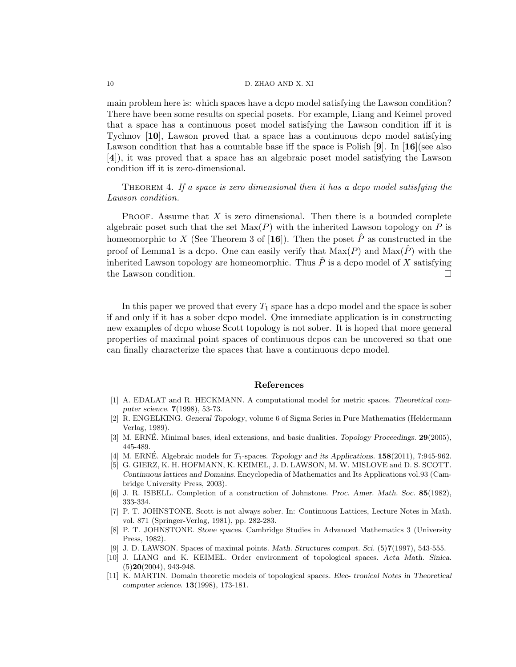### 10 D. ZHAO AND X. XI

main problem here is: which spaces have a dcpo model satisfying the Lawson condition? There have been some results on special posets. For example, Liang and Keimel proved that a space has a continuous poset model satisfying the Lawson condition iff it is Tychnov [10], Lawson proved that a space has a continuous dcpo model satisfying Lawson condition that has a countable base iff the space is Polish  $[9]$ . In  $[16]$ (see also [4]), it was proved that a space has an algebraic poset model satisfying the Lawson condition iff it is zero-dimensional.

THEOREM 4. If a space is zero dimensional then it has a dcpo model satisfying the Lawson condition.

**PROOF.** Assume that  $X$  is zero dimensional. Then there is a bounded complete algebraic poset such that the set  $Max(P)$  with the inherited Lawson topology on P is homeomorphic to X (See Theorem 3 of [16]). Then the poset  $\hat{P}$  as constructed in the proof of Lemma1 is a dcpo. One can easily verify that  $\text{Max}(P)$  and  $\text{Max}(\hat{P})$  with the inherited Lawson topology are homeomorphic. Thus  $\hat{P}$  is a dcpo model of X satisfying the Lawson condition.

In this paper we proved that every  $T_1$  space has a dcpo model and the space is sober if and only if it has a sober dcpo model. One immediate application is in constructing new examples of dcpo whose Scott topology is not sober. It is hoped that more general properties of maximal point spaces of continuous dcpos can be uncovered so that one can finally characterize the spaces that have a continuous dcpo model.

#### References

- [1] A. EDALAT and R. HECKMANN. A computational model for metric spaces. Theoretical computer science. 7(1998), 53-73.
- [2] R. ENGELKING. General Topology, volume 6 of Sigma Series in Pure Mathematics (Heldermann Verlag, 1989).
- [3] M. ERNE. Minimal bases, ideal extensions, and basic dualities. Topology Proceedings. 29(2005), 445-489.
- [4] M. ERNÉ. Algebraic models for  $T_1$ -spaces. Topology and its Applications.  $158(2011)$ , 7:945-962.
- [5] G. GIERZ, K. H. HOFMANN, K. KEIMEL, J. D. LAWSON, M. W. MISLOVE and D. S. SCOTT. Continuous lattices and Domains. Encyclopedia of Mathematics and Its Applications vol.93 (Cambridge University Press, 2003).
- [6] J. R. ISBELL. Completion of a construction of Johnstone. Proc. Amer. Math. Soc. 85(1982), 333-334.
- [7] P. T. JOHNSTONE. Scott is not always sober. In: Continuous Lattices, Lecture Notes in Math. vol. 871 (Springer-Verlag, 1981), pp. 282-283.
- [8] P. T. JOHNSTONE. Stone spaces. Cambridge Studies in Advanced Mathematics 3 (University Press, 1982).
- [9] J. D. LAWSON. Spaces of maximal points. Math. Structures comput. Sci. (5)7(1997), 543-555.
- [10] J. LIANG and K. KEIMEL. Order environment of topological spaces. Acta Math. Sinica.  $(5)20(2004)$ , 943-948.
- [11] K. MARTIN. Domain theoretic models of topological spaces. Elec- tronical Notes in Theoretical computer science. 13(1998), 173-181.